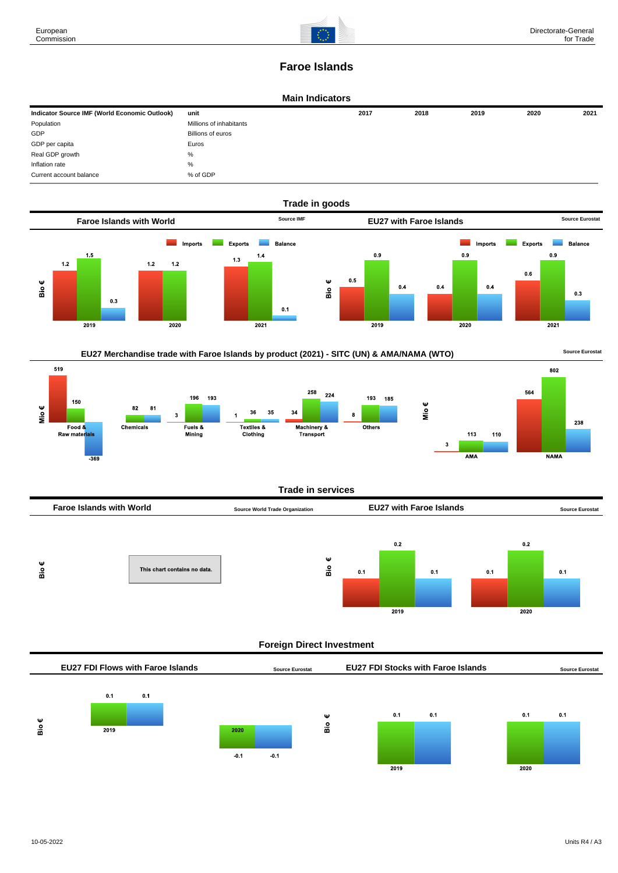

802

**NAMA** 

238

# **Faroe Islands**

#### **Main Indicators**

| Indicator Source IMF (World Economic Outlook) | unit                    | 2017 | 2018 | 2019 | 2020 | 2021 |
|-----------------------------------------------|-------------------------|------|------|------|------|------|
| Population                                    | Millions of inhabitants |      |      |      |      |      |
| GDP                                           | Billions of euros       |      |      |      |      |      |
| GDP per capita                                | Euros                   |      |      |      |      |      |
| Real GDP growth                               | %                       |      |      |      |      |      |
| Inflation rate                                | $\%$                    |      |      |      |      |      |
| Current account balance                       | % of GDP                |      |      |      |      |      |







#### **Trade in services**



## **Foreign Direct Investment**